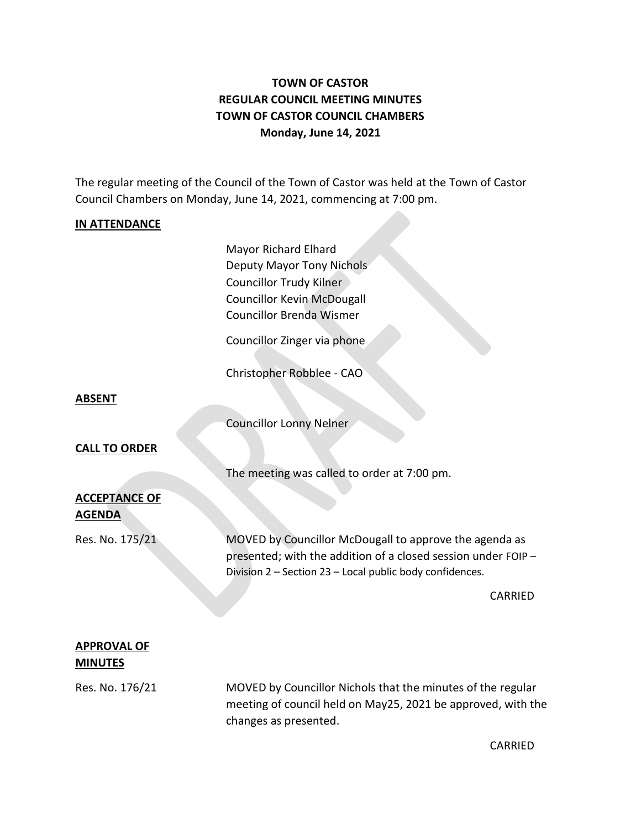# **TOWN OF CASTOR REGULAR COUNCIL MEETING MINUTES TOWN OF CASTOR COUNCIL CHAMBERS Monday, June 14, 2021**

The regular meeting of the Council of the Town of Castor was held at the Town of Castor Council Chambers on Monday, June 14, 2021, commencing at 7:00 pm.

### **IN ATTENDANCE**

Mayor Richard Elhard Deputy Mayor Tony Nichols Councillor Trudy Kilner Councillor Kevin McDougall Councillor Brenda Wismer

Councillor Zinger via phone

Christopher Robblee - CAO

#### **ABSENT**

Councillor Lonny Nelner

#### **CALL TO ORDER**

The meeting was called to order at 7:00 pm.

## **ACCEPTANCE OF AGENDA**

Res. No. 175/21 MOVED by Councillor McDougall to approve the agenda as presented; with the addition of a closed session under FOIP – Division 2 – Section 23 – Local public body confidences.

CARRIED

### **APPROVAL OF MINUTES**

Res. No. 176/21 MOVED by Councillor Nichols that the minutes of the regular meeting of council held on May25, 2021 be approved, with the changes as presented.

CARRIED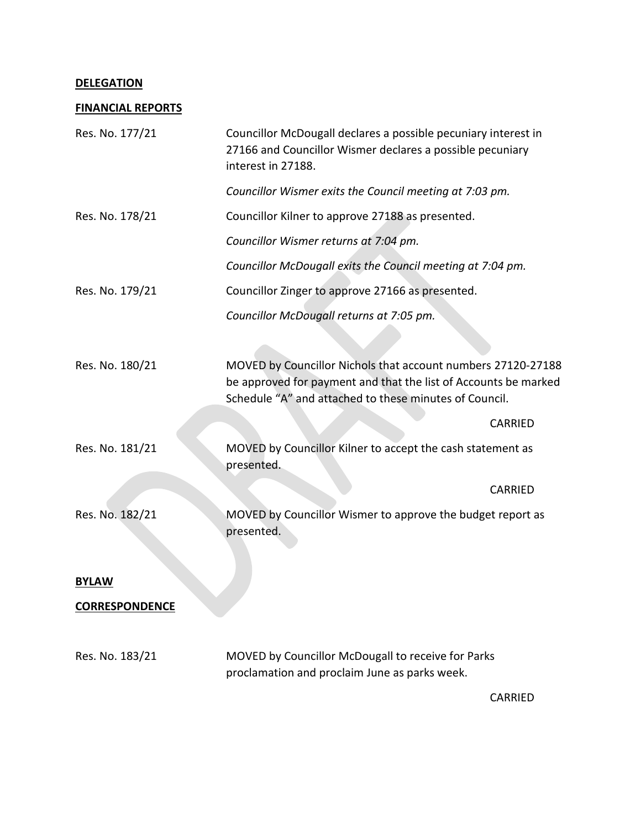### **DELEGATION**

# **FINANCIAL REPORTS**

| Res. No. 177/21       | Councillor McDougall declares a possible pecuniary interest in<br>27166 and Councillor Wismer declares a possible pecuniary<br>interest in 27188.                                         |         |
|-----------------------|-------------------------------------------------------------------------------------------------------------------------------------------------------------------------------------------|---------|
|                       | Councillor Wismer exits the Council meeting at 7:03 pm.                                                                                                                                   |         |
| Res. No. 178/21       | Councillor Kilner to approve 27188 as presented.                                                                                                                                          |         |
|                       | Councillor Wismer returns at 7:04 pm.                                                                                                                                                     |         |
|                       | Councillor McDougall exits the Council meeting at 7:04 pm.                                                                                                                                |         |
| Res. No. 179/21       | Councillor Zinger to approve 27166 as presented.                                                                                                                                          |         |
|                       | Councillor McDougall returns at 7:05 pm.                                                                                                                                                  |         |
|                       |                                                                                                                                                                                           |         |
| Res. No. 180/21       | MOVED by Councillor Nichols that account numbers 27120-27188<br>be approved for payment and that the list of Accounts be marked<br>Schedule "A" and attached to these minutes of Council. |         |
|                       |                                                                                                                                                                                           | CARRIED |
| Res. No. 181/21       | MOVED by Councillor Kilner to accept the cash statement as<br>presented.                                                                                                                  |         |
|                       |                                                                                                                                                                                           | CARRIED |
| Res. No. 182/21       | MOVED by Councillor Wismer to approve the budget report as<br>presented.                                                                                                                  |         |
| <b>BYLAW</b>          |                                                                                                                                                                                           |         |
| <b>CORRESPONDENCE</b> |                                                                                                                                                                                           |         |
| Res. No. 183/21       | MOVED by Councillor McDougall to receive for Parks<br>proclamation and proclaim June as parks week.                                                                                       |         |
|                       |                                                                                                                                                                                           | CARRIED |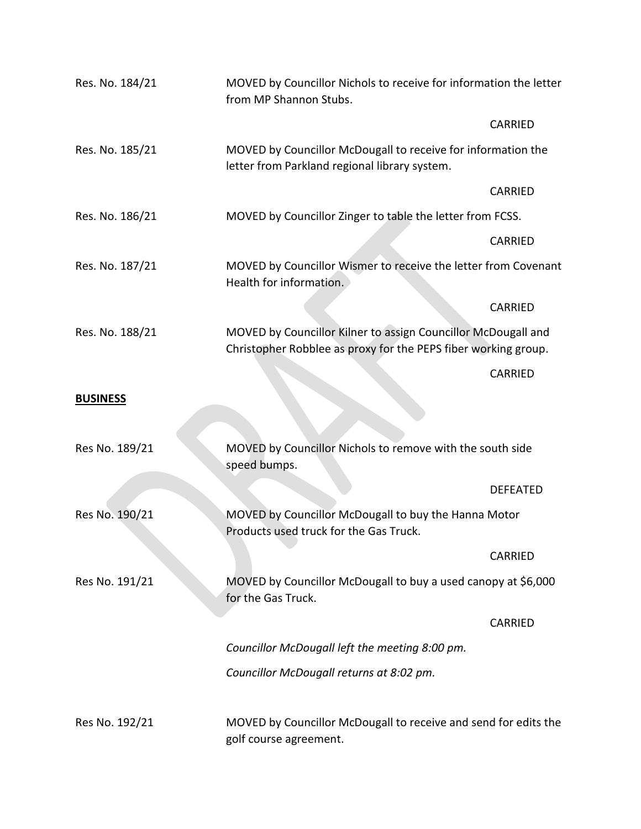| Res. No. 184/21 | MOVED by Councillor Nichols to receive for information the letter<br>from MP Shannon Stubs.                                     |                                                               |  |
|-----------------|---------------------------------------------------------------------------------------------------------------------------------|---------------------------------------------------------------|--|
|                 |                                                                                                                                 | <b>CARRIED</b>                                                |  |
| Res. No. 185/21 | letter from Parkland regional library system.                                                                                   | MOVED by Councillor McDougall to receive for information the  |  |
|                 |                                                                                                                                 | <b>CARRIED</b>                                                |  |
| Res. No. 186/21 | MOVED by Councillor Zinger to table the letter from FCSS.                                                                       |                                                               |  |
|                 |                                                                                                                                 | <b>CARRIED</b>                                                |  |
| Res. No. 187/21 | MOVED by Councillor Wismer to receive the letter from Covenant<br>Health for information.                                       |                                                               |  |
|                 |                                                                                                                                 | CARRIED                                                       |  |
| Res. No. 188/21 | MOVED by Councillor Kilner to assign Councillor McDougall and<br>Christopher Robblee as proxy for the PEPS fiber working group. |                                                               |  |
|                 |                                                                                                                                 | CARRIED                                                       |  |
| <b>BUSINESS</b> |                                                                                                                                 |                                                               |  |
| Res No. 189/21  | speed bumps.                                                                                                                    | MOVED by Councillor Nichols to remove with the south side     |  |
|                 |                                                                                                                                 | <b>DEFEATED</b>                                               |  |
| Res No. 190/21  | MOVED by Councillor McDougall to buy the Hanna Motor<br>Products used truck for the Gas Truck.                                  |                                                               |  |
|                 |                                                                                                                                 | <b>CARRIED</b>                                                |  |
| Res No. 191/21  | for the Gas Truck.                                                                                                              | MOVED by Councillor McDougall to buy a used canopy at \$6,000 |  |
|                 |                                                                                                                                 | <b>CARRIED</b>                                                |  |
|                 | Councillor McDougall left the meeting 8:00 pm.                                                                                  |                                                               |  |
|                 | Councillor McDougall returns at 8:02 pm.                                                                                        |                                                               |  |
| Res No. 192/21  | MOVED by Councillor McDougall to receive and send for edits the<br>golf course agreement.                                       |                                                               |  |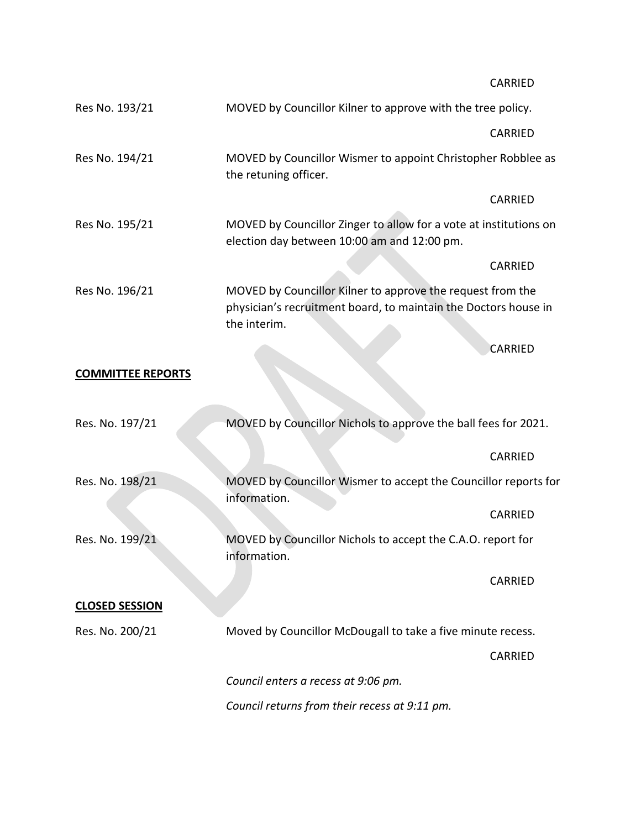CARRIED

| Res No. 193/21           | MOVED by Councillor Kilner to approve with the tree policy.                                                                                   |                                                                |  |
|--------------------------|-----------------------------------------------------------------------------------------------------------------------------------------------|----------------------------------------------------------------|--|
|                          |                                                                                                                                               | CARRIED                                                        |  |
| Res No. 194/21           | MOVED by Councillor Wismer to appoint Christopher Robblee as<br>the retuning officer.                                                         |                                                                |  |
|                          |                                                                                                                                               | CARRIED                                                        |  |
| Res No. 195/21           | MOVED by Councillor Zinger to allow for a vote at institutions on<br>election day between 10:00 am and 12:00 pm.                              |                                                                |  |
|                          |                                                                                                                                               | CARRIED                                                        |  |
| Res No. 196/21           | MOVED by Councillor Kilner to approve the request from the<br>physician's recruitment board, to maintain the Doctors house in<br>the interim. |                                                                |  |
|                          |                                                                                                                                               | <b>CARRIED</b>                                                 |  |
| <b>COMMITTEE REPORTS</b> |                                                                                                                                               |                                                                |  |
| Res. No. 197/21          |                                                                                                                                               | MOVED by Councillor Nichols to approve the ball fees for 2021. |  |
|                          |                                                                                                                                               | CARRIED                                                        |  |
| Res. No. 198/21          | MOVED by Councillor Wismer to accept the Councillor reports for<br>information.                                                               |                                                                |  |
|                          |                                                                                                                                               | CARRIED                                                        |  |
| Res. No. 199/21          | information.                                                                                                                                  | MOVED by Councillor Nichols to accept the C.A.O. report for    |  |
|                          |                                                                                                                                               | CARRIED                                                        |  |
| <b>CLOSED SESSION</b>    |                                                                                                                                               |                                                                |  |
| Res. No. 200/21          |                                                                                                                                               | Moved by Councillor McDougall to take a five minute recess.    |  |
|                          |                                                                                                                                               | <b>CARRIED</b>                                                 |  |
|                          | Council enters a recess at 9:06 pm.                                                                                                           |                                                                |  |
|                          | Council returns from their recess at 9:11 pm.                                                                                                 |                                                                |  |